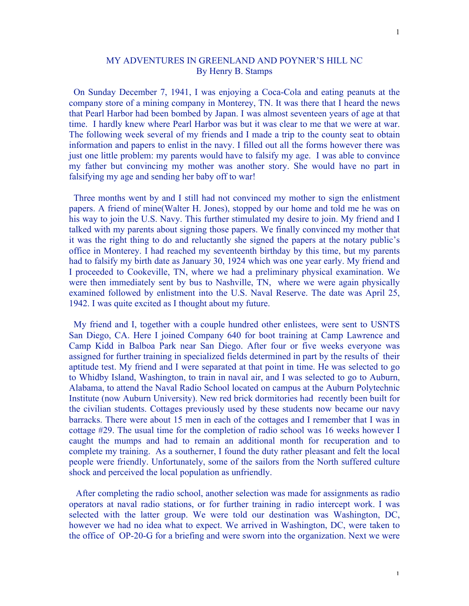## MY ADVENTURES IN GREENLAND AND POYNER'S HILL NC By Henry B. Stamps

 On Sunday December 7, 1941, I was enjoying a Coca-Cola and eating peanuts at the company store of a mining company in Monterey, TN. It was there that I heard the news that Pearl Harbor had been bombed by Japan. I was almost seventeen years of age at that time. I hardly knew where Pearl Harbor was but it was clear to me that we were at war. The following week several of my friends and I made a trip to the county seat to obtain information and papers to enlist in the navy. I filled out all the forms however there was just one little problem: my parents would have to falsify my age. I was able to convince my father but convincing my mother was another story. She would have no part in falsifying my age and sending her baby off to war!

 Three months went by and I still had not convinced my mother to sign the enlistment papers. A friend of mine(Walter H. Jones), stopped by our home and told me he was on his way to join the U.S. Navy. This further stimulated my desire to join. My friend and I talked with my parents about signing those papers. We finally convinced my mother that it was the right thing to do and reluctantly she signed the papers at the notary public's office in Monterey. I had reached my seventeenth birthday by this time, but my parents had to falsify my birth date as January 30, 1924 which was one year early. My friend and I proceeded to Cookeville, TN, where we had a preliminary physical examination. We were then immediately sent by bus to Nashville, TN, where we were again physically examined followed by enlistment into the U.S. Naval Reserve. The date was April 25, 1942. I was quite excited as I thought about my future.

 My friend and I, together with a couple hundred other enlistees, were sent to USNTS San Diego, CA. Here I joined Company 640 for boot training at Camp Lawrence and Camp Kidd in Balboa Park near San Diego. After four or five weeks everyone was assigned for further training in specialized fields determined in part by the results of their aptitude test. My friend and I were separated at that point in time. He was selected to go to Whidby Island, Washington, to train in naval air, and I was selected to go to Auburn, Alabama, to attend the Naval Radio School located on campus at the Auburn Polytechnic Institute (now Auburn University). New red brick dormitories had recently been built for the civilian students. Cottages previously used by these students now became our navy barracks. There were about 15 men in each of the cottages and I remember that I was in cottage #29. The usual time for the completion of radio school was 16 weeks however I caught the mumps and had to remain an additional month for recuperation and to complete my training. As a southerner, I found the duty rather pleasant and felt the local people were friendly. Unfortunately, some of the sailors from the North suffered culture shock and perceived the local population as unfriendly.

 After completing the radio school, another selection was made for assignments as radio operators at naval radio stations, or for further training in radio intercept work. I was selected with the latter group. We were told our destination was Washington, DC, however we had no idea what to expect. We arrived in Washington, DC, were taken to the office of OP-20-G for a briefing and were sworn into the organization. Next we were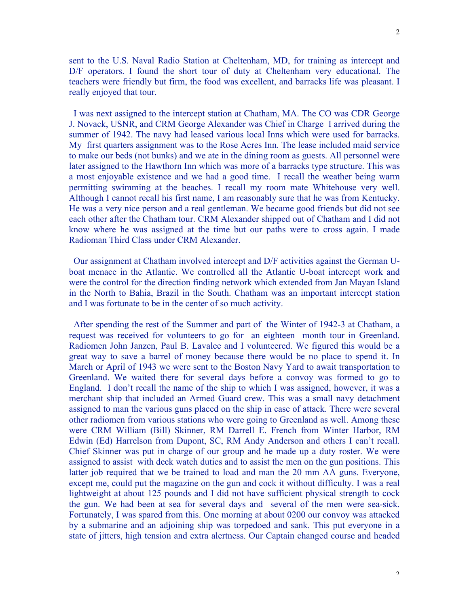sent to the U.S. Naval Radio Station at Cheltenham, MD, for training as intercept and D/F operators. I found the short tour of duty at Cheltenham very educational. The teachers were friendly but firm, the food was excellent, and barracks life was pleasant. I really enjoyed that tour.

 I was next assigned to the intercept station at Chatham, MA. The CO was CDR George J. Novack, USNR, and CRM George Alexander was Chief in Charge I arrived during the summer of 1942. The navy had leased various local Inns which were used for barracks. My first quarters assignment was to the Rose Acres Inn. The lease included maid service to make our beds (not bunks) and we ate in the dining room as guests. All personnel were later assigned to the Hawthorn Inn which was more of a barracks type structure. This was a most enjoyable existence and we had a good time. I recall the weather being warm permitting swimming at the beaches. I recall my room mate Whitehouse very well. Although I cannot recall his first name, I am reasonably sure that he was from Kentucky. He was a very nice person and a real gentleman. We became good friends but did not see each other after the Chatham tour. CRM Alexander shipped out of Chatham and I did not know where he was assigned at the time but our paths were to cross again. I made Radioman Third Class under CRM Alexander.

 Our assignment at Chatham involved intercept and D/F activities against the German Uboat menace in the Atlantic. We controlled all the Atlantic U-boat intercept work and were the control for the direction finding network which extended from Jan Mayan Island in the North to Bahia, Brazil in the South. Chatham was an important intercept station and I was fortunate to be in the center of so much activity.

 After spending the rest of the Summer and part of the Winter of 1942-3 at Chatham, a request was received for volunteers to go for an eighteen month tour in Greenland. Radiomen John Janzen, Paul B. Lavalee and I volunteered. We figured this would be a great way to save a barrel of money because there would be no place to spend it. In March or April of 1943 we were sent to the Boston Navy Yard to await transportation to Greenland. We waited there for several days before a convoy was formed to go to England. I don't recall the name of the ship to which I was assigned, however, it was a merchant ship that included an Armed Guard crew. This was a small navy detachment assigned to man the various guns placed on the ship in case of attack. There were several other radiomen from various stations who were going to Greenland as well. Among these were CRM William (Bill) Skinner, RM Darrell E. French from Winter Harbor, RM Edwin (Ed) Harrelson from Dupont, SC, RM Andy Anderson and others I can't recall. Chief Skinner was put in charge of our group and he made up a duty roster. We were assigned to assist with deck watch duties and to assist the men on the gun positions. This latter job required that we be trained to load and man the 20 mm AA guns. Everyone, except me, could put the magazine on the gun and cock it without difficulty. I was a real lightweight at about 125 pounds and I did not have sufficient physical strength to cock the gun. We had been at sea for several days and several of the men were sea-sick. Fortunately, I was spared from this. One morning at about 0200 our convoy was attacked by a submarine and an adjoining ship was torpedoed and sank. This put everyone in a state of jitters, high tension and extra alertness. Our Captain changed course and headed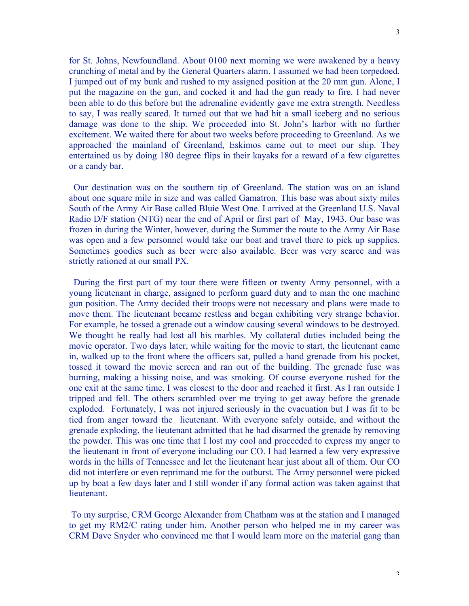for St. Johns, Newfoundland. About 0100 next morning we were awakened by a heavy crunching of metal and by the General Quarters alarm. I assumed we had been torpedoed. I jumped out of my bunk and rushed to my assigned position at the 20 mm gun. Alone, I put the magazine on the gun, and cocked it and had the gun ready to fire. I had never been able to do this before but the adrenaline evidently gave me extra strength. Needless to say, I was really scared. It turned out that we had hit a small iceberg and no serious damage was done to the ship. We proceeded into St. John's harbor with no further excitement. We waited there for about two weeks before proceeding to Greenland. As we approached the mainland of Greenland, Eskimos came out to meet our ship. They entertained us by doing 180 degree flips in their kayaks for a reward of a few cigarettes or a candy bar.

 Our destination was on the southern tip of Greenland. The station was on an island about one square mile in size and was called Gamatron. This base was about sixty miles South of the Army Air Base called Bluie West One. I arrived at the Greenland U.S. Naval Radio D/F station (NTG) near the end of April or first part of May, 1943. Our base was frozen in during the Winter, however, during the Summer the route to the Army Air Base was open and a few personnel would take our boat and travel there to pick up supplies. Sometimes goodies such as beer were also available. Beer was very scarce and was strictly rationed at our small PX.

 During the first part of my tour there were fifteen or twenty Army personnel, with a young lieutenant in charge, assigned to perform guard duty and to man the one machine gun position. The Army decided their troops were not necessary and plans were made to move them. The lieutenant became restless and began exhibiting very strange behavior. For example, he tossed a grenade out a window causing several windows to be destroyed. We thought he really had lost all his marbles. My collateral duties included being the movie operator. Two days later, while waiting for the movie to start, the lieutenant came in, walked up to the front where the officers sat, pulled a hand grenade from his pocket, tossed it toward the movie screen and ran out of the building. The grenade fuse was burning, making a hissing noise, and was smoking. Of course everyone rushed for the one exit at the same time. I was closest to the door and reached it first. As I ran outside I tripped and fell. The others scrambled over me trying to get away before the grenade exploded. Fortunately, I was not injured seriously in the evacuation but I was fit to be tied from anger toward the lieutenant. With everyone safely outside, and without the grenade exploding, the lieutenant admitted that he had disarmed the grenade by removing the powder. This was one time that I lost my cool and proceeded to express my anger to the lieutenant in front of everyone including our CO. I had learned a few very expressive words in the hills of Tennessee and let the lieutenant hear just about all of them. Our CO did not interfere or even reprimand me for the outburst. The Army personnel were picked up by boat a few days later and I still wonder if any formal action was taken against that lieutenant.

 To my surprise, CRM George Alexander from Chatham was at the station and I managed to get my RM2/C rating under him. Another person who helped me in my career was CRM Dave Snyder who convinced me that I would learn more on the material gang than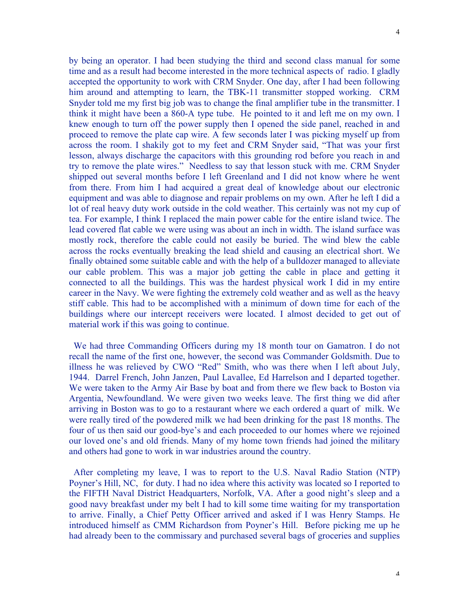by being an operator. I had been studying the third and second class manual for some time and as a result had become interested in the more technical aspects of radio. I gladly accepted the opportunity to work with CRM Snyder. One day, after I had been following him around and attempting to learn, the TBK-11 transmitter stopped working. CRM Snyder told me my first big job was to change the final amplifier tube in the transmitter. I think it might have been a 860-A type tube. He pointed to it and left me on my own. I knew enough to turn off the power supply then I opened the side panel, reached in and proceed to remove the plate cap wire. A few seconds later I was picking myself up from across the room. I shakily got to my feet and CRM Snyder said, "That was your first lesson, always discharge the capacitors with this grounding rod before you reach in and try to remove the plate wires." Needless to say that lesson stuck with me. CRM Snyder shipped out several months before I left Greenland and I did not know where he went from there. From him I had acquired a great deal of knowledge about our electronic equipment and was able to diagnose and repair problems on my own. After he left I did a lot of real heavy duty work outside in the cold weather. This certainly was not my cup of tea. For example, I think I replaced the main power cable for the entire island twice. The lead covered flat cable we were using was about an inch in width. The island surface was mostly rock, therefore the cable could not easily be buried. The wind blew the cable across the rocks eventually breaking the lead shield and causing an electrical short. We finally obtained some suitable cable and with the help of a bulldozer managed to alleviate our cable problem. This was a major job getting the cable in place and getting it connected to all the buildings. This was the hardest physical work I did in my entire career in the Navy. We were fighting the extremely cold weather and as well as the heavy stiff cable. This had to be accomplished with a minimum of down time for each of the buildings where our intercept receivers were located. I almost decided to get out of material work if this was going to continue.

 We had three Commanding Officers during my 18 month tour on Gamatron. I do not recall the name of the first one, however, the second was Commander Goldsmith. Due to illness he was relieved by CWO "Red" Smith, who was there when I left about July, 1944. Darrel French, John Janzen, Paul Lavallee, Ed Harrelson and I departed together. We were taken to the Army Air Base by boat and from there we flew back to Boston via Argentia, Newfoundland. We were given two weeks leave. The first thing we did after arriving in Boston was to go to a restaurant where we each ordered a quart of milk. We were really tired of the powdered milk we had been drinking for the past 18 months. The four of us then said our good-bye's and each proceeded to our homes where we rejoined our loved one's and old friends. Many of my home town friends had joined the military and others had gone to work in war industries around the country.

 After completing my leave, I was to report to the U.S. Naval Radio Station (NTP) Poyner's Hill, NC, for duty. I had no idea where this activity was located so I reported to the FIFTH Naval District Headquarters, Norfolk, VA. After a good night's sleep and a good navy breakfast under my belt I had to kill some time waiting for my transportation to arrive. Finally, a Chief Petty Officer arrived and asked if I was Henry Stamps. He introduced himself as CMM Richardson from Poyner's Hill. Before picking me up he had already been to the commissary and purchased several bags of groceries and supplies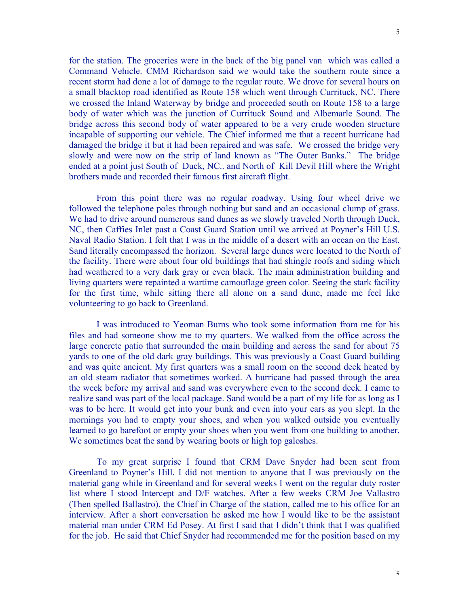for the station. The groceries were in the back of the big panel van which was called a Command Vehicle. CMM Richardson said we would take the southern route since a recent storm had done a lot of damage to the regular route. We drove for several hours on a small blacktop road identified as Route 158 which went through Currituck, NC. There we crossed the Inland Waterway by bridge and proceeded south on Route 158 to a large body of water which was the junction of Currituck Sound and Albemarle Sound. The bridge across this second body of water appeared to be a very crude wooden structure incapable of supporting our vehicle. The Chief informed me that a recent hurricane had damaged the bridge it but it had been repaired and was safe. We crossed the bridge very slowly and were now on the strip of land known as "The Outer Banks." The bridge ended at a point just South of Duck, NC.. and North of Kill Devil Hill where the Wright brothers made and recorded their famous first aircraft flight.

From this point there was no regular roadway. Using four wheel drive we followed the telephone poles through nothing but sand and an occasional clump of grass. We had to drive around numerous sand dunes as we slowly traveled North through Duck, NC, then Caffies Inlet past a Coast Guard Station until we arrived at Poyner's Hill U.S. Naval Radio Station. I felt that I was in the middle of a desert with an ocean on the East. Sand literally encompassed the horizon. Several large dunes were located to the North of the facility. There were about four old buildings that had shingle roofs and siding which had weathered to a very dark gray or even black. The main administration building and living quarters were repainted a wartime camouflage green color. Seeing the stark facility for the first time, while sitting there all alone on a sand dune, made me feel like volunteering to go back to Greenland.

I was introduced to Yeoman Burns who took some information from me for his files and had someone show me to my quarters. We walked from the office across the large concrete patio that surrounded the main building and across the sand for about 75 yards to one of the old dark gray buildings. This was previously a Coast Guard building and was quite ancient. My first quarters was a small room on the second deck heated by an old steam radiator that sometimes worked. A hurricane had passed through the area the week before my arrival and sand was everywhere even to the second deck. I came to realize sand was part of the local package. Sand would be a part of my life for as long as I was to be here. It would get into your bunk and even into your ears as you slept. In the mornings you had to empty your shoes, and when you walked outside you eventually learned to go barefoot or empty your shoes when you went from one building to another. We sometimes beat the sand by wearing boots or high top galoshes.

To my great surprise I found that CRM Dave Snyder had been sent from Greenland to Poyner's Hill. I did not mention to anyone that I was previously on the material gang while in Greenland and for several weeks I went on the regular duty roster list where I stood Intercept and D/F watches. After a few weeks CRM Joe Vallastro (Then spelled Ballastro), the Chief in Charge of the station, called me to his office for an interview. After a short conversation he asked me how I would like to be the assistant material man under CRM Ed Posey. At first I said that I didn't think that I was qualified for the job. He said that Chief Snyder had recommended me for the position based on my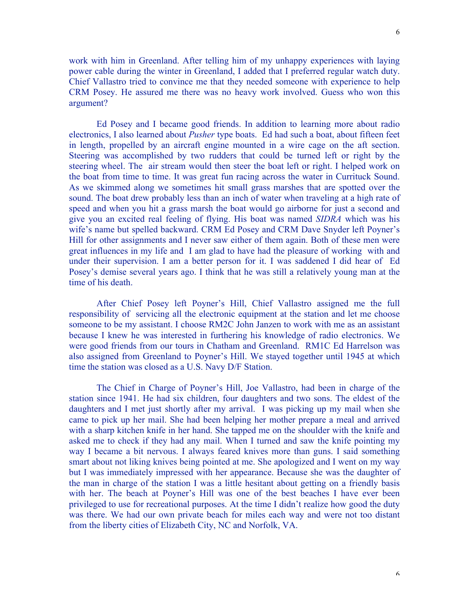work with him in Greenland. After telling him of my unhappy experiences with laying power cable during the winter in Greenland, I added that I preferred regular watch duty. Chief Vallastro tried to convince me that they needed someone with experience to help CRM Posey. He assured me there was no heavy work involved. Guess who won this argument?

Ed Posey and I became good friends. In addition to learning more about radio electronics, I also learned about *Pusher* type boats. Ed had such a boat, about fifteen feet in length, propelled by an aircraft engine mounted in a wire cage on the aft section. Steering was accomplished by two rudders that could be turned left or right by the steering wheel. The air stream would then steer the boat left or right. I helped work on the boat from time to time. It was great fun racing across the water in Currituck Sound. As we skimmed along we sometimes hit small grass marshes that are spotted over the sound. The boat drew probably less than an inch of water when traveling at a high rate of speed and when you hit a grass marsh the boat would go airborne for just a second and give you an excited real feeling of flying. His boat was named *SIDRA* which was his wife's name but spelled backward. CRM Ed Posey and CRM Dave Snyder left Poyner's Hill for other assignments and I never saw either of them again. Both of these men were great influences in my life and I am glad to have had the pleasure of working with and under their supervision. I am a better person for it. I was saddened I did hear of Ed Posey's demise several years ago. I think that he was still a relatively young man at the time of his death.

After Chief Posey left Poyner's Hill, Chief Vallastro assigned me the full responsibility of servicing all the electronic equipment at the station and let me choose someone to be my assistant. I choose RM2C John Janzen to work with me as an assistant because I knew he was interested in furthering his knowledge of radio electronics. We were good friends from our tours in Chatham and Greenland. RM1C Ed Harrelson was also assigned from Greenland to Poyner's Hill. We stayed together until 1945 at which time the station was closed as a U.S. Navy D/F Station.

The Chief in Charge of Poyner's Hill, Joe Vallastro, had been in charge of the station since 1941. He had six children, four daughters and two sons. The eldest of the daughters and I met just shortly after my arrival. I was picking up my mail when she came to pick up her mail. She had been helping her mother prepare a meal and arrived with a sharp kitchen knife in her hand. She tapped me on the shoulder with the knife and asked me to check if they had any mail. When I turned and saw the knife pointing my way I became a bit nervous. I always feared knives more than guns. I said something smart about not liking knives being pointed at me. She apologized and I went on my way but I was immediately impressed with her appearance. Because she was the daughter of the man in charge of the station I was a little hesitant about getting on a friendly basis with her. The beach at Poyner's Hill was one of the best beaches I have ever been privileged to use for recreational purposes. At the time I didn't realize how good the duty was there. We had our own private beach for miles each way and were not too distant from the liberty cities of Elizabeth City, NC and Norfolk, VA.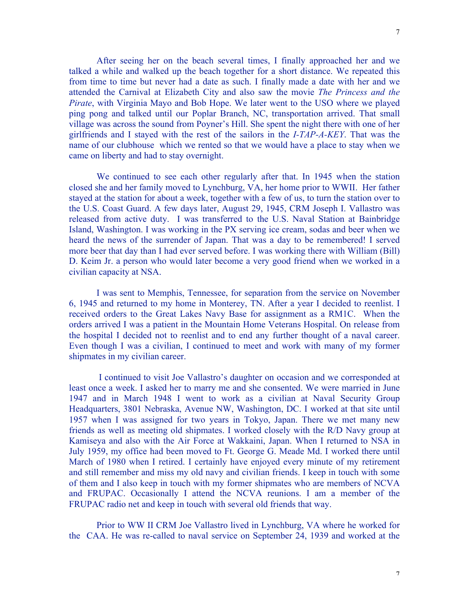After seeing her on the beach several times, I finally approached her and we talked a while and walked up the beach together for a short distance. We repeated this from time to time but never had a date as such. I finally made a date with her and we attended the Carnival at Elizabeth City and also saw the movie *The Princess and the Pirate*, with Virginia Mayo and Bob Hope. We later went to the USO where we played ping pong and talked until our Poplar Branch, NC, transportation arrived. That small village was across the sound from Poyner's Hill. She spent the night there with one of her girlfriends and I stayed with the rest of the sailors in the *I-TAP-A-KEY*. That was the name of our clubhouse which we rented so that we would have a place to stay when we came on liberty and had to stay overnight.

We continued to see each other regularly after that. In 1945 when the station closed she and her family moved to Lynchburg, VA, her home prior to WWII. Her father stayed at the station for about a week, together with a few of us, to turn the station over to the U.S. Coast Guard. A few days later, August 29, 1945, CRM Joseph I. Vallastro was released from active duty. I was transferred to the U.S. Naval Station at Bainbridge Island, Washington. I was working in the PX serving ice cream, sodas and beer when we heard the news of the surrender of Japan. That was a day to be remembered! I served more beer that day than I had ever served before. I was working there with William (Bill) D. Keim Jr. a person who would later become a very good friend when we worked in a civilian capacity at NSA.

I was sent to Memphis, Tennessee, for separation from the service on November 6, 1945 and returned to my home in Monterey, TN. After a year I decided to reenlist. I received orders to the Great Lakes Navy Base for assignment as a RM1C. When the orders arrived I was a patient in the Mountain Home Veterans Hospital. On release from the hospital I decided not to reenlist and to end any further thought of a naval career. Even though I was a civilian, I continued to meet and work with many of my former shipmates in my civilian career.

 I continued to visit Joe Vallastro's daughter on occasion and we corresponded at least once a week. I asked her to marry me and she consented. We were married in June 1947 and in March 1948 I went to work as a civilian at Naval Security Group Headquarters, 3801 Nebraska, Avenue NW, Washington, DC. I worked at that site until 1957 when I was assigned for two years in Tokyo, Japan. There we met many new friends as well as meeting old shipmates. I worked closely with the R/D Navy group at Kamiseya and also with the Air Force at Wakkaini, Japan. When I returned to NSA in July 1959, my office had been moved to Ft. George G. Meade Md. I worked there until March of 1980 when I retired. I certainly have enjoyed every minute of my retirement and still remember and miss my old navy and civilian friends. I keep in touch with some of them and I also keep in touch with my former shipmates who are members of NCVA and FRUPAC. Occasionally I attend the NCVA reunions. I am a member of the FRUPAC radio net and keep in touch with several old friends that way.

Prior to WW II CRM Joe Vallastro lived in Lynchburg, VA where he worked for the CAA. He was re-called to naval service on September 24, 1939 and worked at the